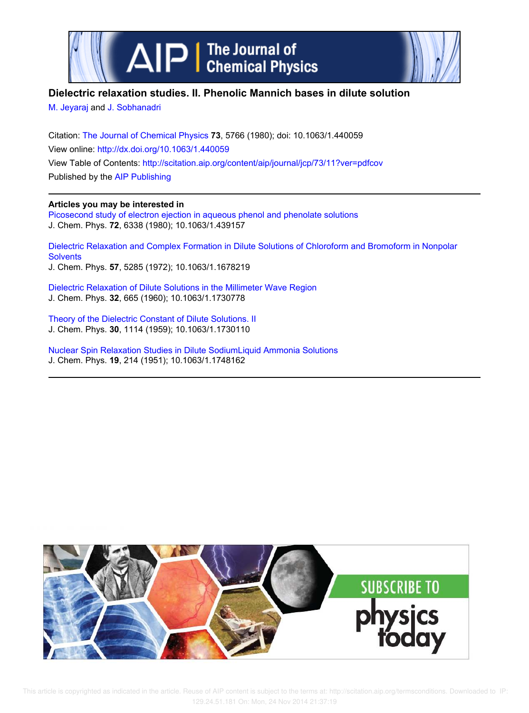



## **Dielectric relaxation studies. II. Phenolic Mannich bases in dilute solution**

M. Jeyaraj and J. Sobhanadri

Citation: The Journal of Chemical Physics **73**, 5766 (1980); doi: 10.1063/1.440059 View online: http://dx.doi.org/10.1063/1.440059 View Table of Contents: http://scitation.aip.org/content/aip/journal/jcp/73/11?ver=pdfcov Published by the AIP Publishing

## **Articles you may be interested in**

Picosecond study of electron ejection in aqueous phenol and phenolate solutions J. Chem. Phys. **72**, 6338 (1980); 10.1063/1.439157

Dielectric Relaxation and Complex Formation in Dilute Solutions of Chloroform and Bromoform in Nonpolar **Solvents** J. Chem. Phys. **57**, 5285 (1972); 10.1063/1.1678219

Dielectric Relaxation of Dilute Solutions in the Millimeter Wave Region J. Chem. Phys. **32**, 665 (1960); 10.1063/1.1730778

Theory of the Dielectric Constant of Dilute Solutions. II J. Chem. Phys. **30**, 1114 (1959); 10.1063/1.1730110

Nuclear Spin Relaxation Studies in Dilute SodiumLiquid Ammonia Solutions J. Chem. Phys. **19**, 214 (1951); 10.1063/1.1748162

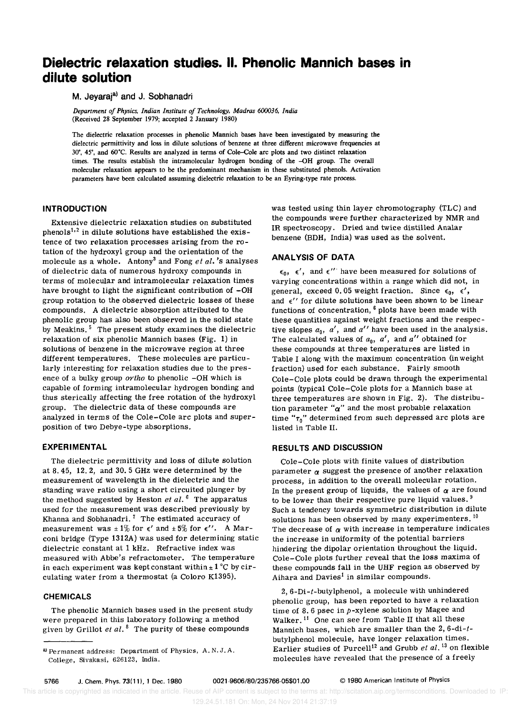# **Dielectric relaxation studies. II. Phenolic Mannich bases in dilute solution**

## M. Jeyaraja) **and J. Sobhanadri**

*Department of Physics. Indian Institute of Technology. Madras 600036, India*  (Received 28 September 1979; accepted 2 January 1980)

The dielectric relaxation processes in phenolic Mannich bases have been investigated by measuring the dielectric permittivity and loss in dilute solutions of benzene at three different microwave frequencies at 30°, 45°, and 60°C. Results are analyzed in terms of Cole–Cole arc plots and two distinct relaxation times. The results establish the intramolecular hydrogen bonding of the -OH group. The overall molecular relaxation appears to be the predominant mechanism in these substituted phenols. Activation parameters have been calculated assuming dielectric relaxation to be an Eyring-type rate process.

### **INTRODUCTION**

Extensive dielectric relaxation studies on substituted  $phenols<sup>1,2</sup>$  in dilute solutions have established the existence of two relaxation processes arising from the rotation of the hydroxyl group and the orientation of the molecule as a whole. Antony3 and Fong *et al.* 's analyses of dielectric data of numerous hydroxy compounds in terms of molecular and intramolecular relaxation times have brought to light the significant contribution of  $-OH$ group rotation to the observed dielectric losses of these compounds. A dielectric absorption attributed to the phenolic group has also been observed in the solid state by Meakins.<sup>5</sup> The present study examines the dielectric relaxation of six phenolic Mannich bases (Fig. 1) in solutions of benzene in the microwave region at three different temperatures. These molecules are particularly interesting for relaxation studies due to the presence of a bulky group *ortho* to phenolic -OH which is capable of forming intramolecular hydrogen bonding and thus sterically affecting the free rotation of the hydroxyl group. The dielectric data of these compounds are analyzed in terms of the Cole-Cole arc plots and superposition of two Debye-type absorptions.

#### **EXPERIMENTAL**

The dielectric permittivity and loss of dilute solution at 8.45, 12. 2, and 30. 5 GHz were determined by the measurement of wavelength in the dielectric and the standing wave ratio using a short circuited plunger by the method suggested by Heston *et at.* 6 The apparatus used for the measurement was described previously by Khanna and Sobhanadri.<sup>7</sup> The estimated accuracy of measurement was  $\pm 1\%$  for  $\epsilon'$  and  $\pm 5\%$  for  $\epsilon''$ . A Marconi bridge (Type *1312A)* was used for determining static dielectric constant at 1 kHz. Refractive index was measured with Abbe's refractometer. The temperature in each experiment was kept constant within  $\pm 1$  °C by circulating water from a thermostat (a Coloro K1395).

### **CHEMICALS**

The phenolic Mannich bases used in the present study were prepared in this laboratory following a method given by Grillot *et al.* 8 The purity of these compounds

was tested using thin layer chromotography (TLC) and the compounds were further characterized by NMR and IR spectroscopy. Dried and twice distilled Analar benzene (BDH, India) was used as the solvent.

#### **ANALYSIS OF DATA**

 $\epsilon_0$ ,  $\epsilon'$ , and  $\epsilon''$  have been measured for solutions of varying concentrations within a range which did not, in general, exceed 0.05 weight fraction. Since  $\epsilon_0$ ,  $\epsilon'$ , and  $\epsilon'$  for dilute solutions have been shown to be linear functions of concentration, 6 plots have been made with these quantities against weight fractions and the respective slopes  $a_0$ ,  $a'$ , and  $a''$  have been used in the analysis. The calculated values of  $a_0$ ,  $a'$ , and  $a''$  obtained for these compounds at three temperatures are listed in Table I along with the maximum concentration (in weight fraction) used for each substance. Fairly smooth Cole-Cole plots could be drawn through the experimental points (typical Cole-Cole plots for a Mannich base at three temperatures are shown in Fig. 2). The distribution parameter " $\alpha$ " and the most probable relaxation time  $"_{\tau_0}"$  determined from such depressed arc plots are listed in Table II.

#### **RESULTS AND DISCUSSION**

Cole-Cole plots with finite values of distribution parameter  $\alpha$  suggest the presence of another relaxation process, in addition to the overall molecular rotation. In the present group of liquids, the values of  $\alpha$  are found to be lower than their respective pure liquid values.  $9$ Such a tendency towards symmetric distribution in dilute solutions has been observed by many experimenters.  $10$ The decrease of  $\alpha$  with increase in temperature indicates the increase in uniformity of the potential barriers hindering the dipolar orientation throughout the liquid. Cole-Cole plots further reveal that the loss maxima of these compounds fall in the UHF region as observed by Aihara and Davies<sup>1</sup> in similar compounds.

2,  $6-Di-t$ -butylphenol, a molecule with unhindered phenolic group, has been reported to have a relaxation time of 8.6 psec in  $p$ -xylene solution by Magee and Walker. 11 One can see from Table II that all these Mannich bases, which are smaller than the  $2, 6$ -di- $t$ butylphenol molecule, have longer relaxation times. Earlier studies of Purcell<sup>12</sup> and Grubb *et al.*<sup>13</sup> on flexible molecules have revealed that the presence of a freely

a) Permanent address: Department of Physics, A. N. J. A. College, Sivakasi, 626123, India.

This article is copyrighted as indicated in the article. Reuse of AIP content is subject to the terms at: http://scitation.aip.org/termsconditions. Downloaded to IP: 129.24.51.181 On: Mon, 24 Nov 2014 21:37:19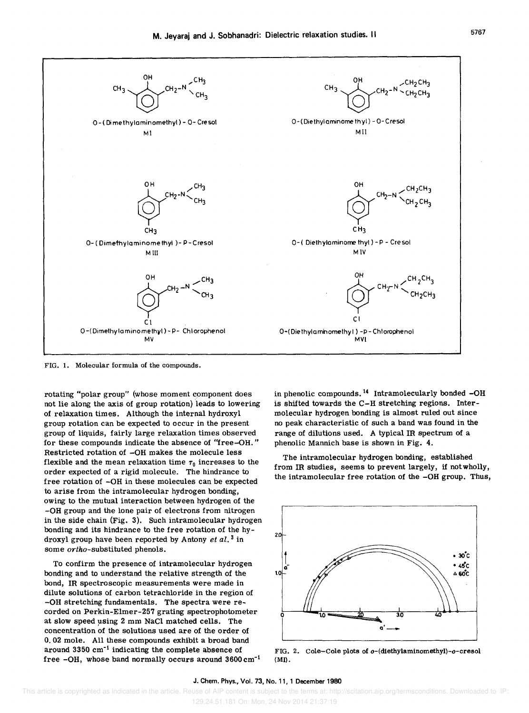

FIG. 1. Molecular formula of the compounds.

rotating "polar group" (whose moment component does not lie along the axis of group rotation) leads to lowering of relaxation times. Although the internal hydroxyl group rotation can be expected to occur in the present group of liquids, fairly large relaxation times observed for these compounds indicate the absence of "free-OH. " Restricted rotation of -OH makes the molecule less flexible and the mean relaxation time  $\tau_0$  increases to the order expected of a rigid molecule. The hindrance to free rotation of -OH in these molecules can be expected to arise from the intramolecular hydrogen bonding, owing to the mutual interaction between hydrogen of the -OH group and the lone pair of electrons from nitrogen in the side chain (Fig. 3). Such intramolecular hydrogen bonding and its hindrance to the free rotation of the hydroxyl group have been reported by Antony et  $al.^3$  in some *ortho-substituted* phenols.

To confirm the presence of intramolecular hydrogen bonding and to understand the relative strength of the bond, IR spectroscopic measurements were made in dilute solutions of carbon tetrachloride in the region of -OH stretching fundamentals. The spectra were recorded on Perkin-Elmer-257 grating spectrophotometer at slow speed using 2 mm NaCl matched cells. The concentration of the solutions used are of the order of 0.02 mole. All these compounds exhibit a broad band around  $3350 \text{ cm}^{-1}$  indicating the complete absence of free -OH, whose band normally occurs around 3600 cm-<sup>1</sup> in phenolic compounds.<sup>14</sup> Intramolecularly bonded -OH is shifted towards the C-H stretching regions. Intermolecular hydrogen bonding is almost ruled out since no peak characteristic of such a band was found in the range of dilutions used. A typical IR spectrum of a phenolic Mannich base is shown in Fig. 4.

The intramolecular hydrogen bonding, established from IR studies, seems to prevent largely, if not wholly, the intramolecular free rotation of the -OH group. Thus,



FIG. 2. Cole-Cole plots of o-(diethylaminomethyl)-o-cresol (MI).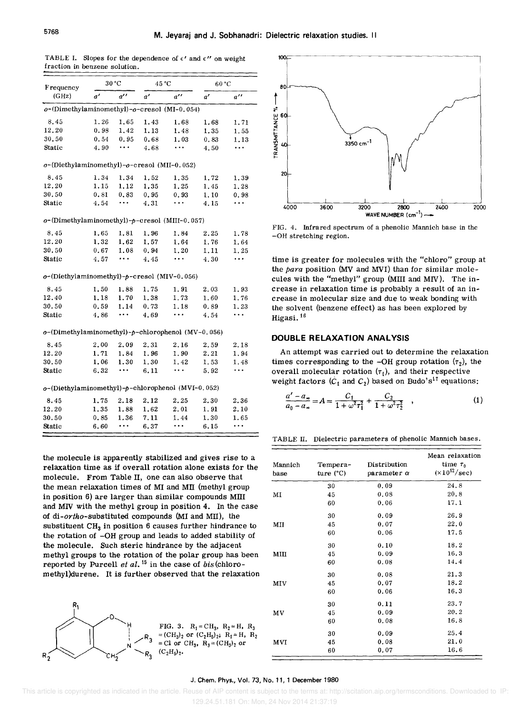| Frequency<br>(GHz)                                       |      | 30 °C              |      | 45 °C              |      | 60 °C              |  |
|----------------------------------------------------------|------|--------------------|------|--------------------|------|--------------------|--|
|                                                          | a'   | $a^{\prime\prime}$ | a'   | $a^{\prime\prime}$ | ď    | $a^{\prime\prime}$ |  |
| o-(Dimethylaminomethyl)-o-cresol (MI-0.054)              |      |                    |      |                    |      |                    |  |
| 8.45                                                     | 1.26 | 1.65               | 1.43 | 1.68               | 1.68 | 1.71               |  |
| 12.20                                                    | 0.98 | 1.42               | 1.13 | 1.48               | 1.35 | 1.55               |  |
| 30.50                                                    | 0.54 | 0.95               | 0.68 | 1.03               | 0.83 | 1.13               |  |
| Static                                                   | 4.90 | $\ddotsc$          | 4.68 | .                  | 4.50 | .                  |  |
| $o$ -(Diethylaminomethyl)- $o$ -cresol (MII-0.052)       |      |                    |      |                    |      |                    |  |
| 8.45                                                     | 1.34 | 1.34               | 1,52 | 1.35               | 1.72 | 1.39               |  |
| 12.20                                                    | 1.15 | 1.12               | 1.35 | 1.25               | 1.45 | 1.28               |  |
| 30.50                                                    | 0.81 | 0.83               | 0.95 | 0.93               | 1.10 | 0.98               |  |
| Static                                                   | 4.54 | $\ldots$           | 4.31 | $\ddotsc$          | 4.15 | .                  |  |
| $o$ -(Dimethylaminomethyl)- $p$ -cresol (MIII-0.057)     |      |                    |      |                    |      |                    |  |
| 8.45                                                     | 1,65 | 1.81               | 1.96 | 1.84               | 2.25 | 1.78               |  |
| 12.20                                                    | 1.32 | 1.62               | 1.57 | 1.64               | 1.76 | 1.64               |  |
| 30.50                                                    | 0.67 | 1.08               | 0.94 | 1.20               | 1.11 | 1.25               |  |
| Static                                                   | 4.57 |                    | 4.45 | $\ddotsc$          | 4.30 | $\ddotsc$          |  |
| $o$ -(Diethylaminomethyl)- $p$ -cresol (MIV-0.056)       |      |                    |      |                    |      |                    |  |
| 8.45                                                     | 1.50 | 1.88               | 1.75 | 1.91               | 2.03 | 1.93               |  |
| 12.40                                                    | 1.18 | 1.70               | 1.38 | 1.73               | 1.60 | 1.76               |  |
| 30.50                                                    | 0.59 | 1.14               | 0.73 | 1.18               | 0.89 | 1.23               |  |
| Static                                                   | 4.86 | $\cdots$           | 4.69 | .                  | 4.54 | $\ddotsc$          |  |
| $o$ -(Dimethylaminomethyl)- $p$ -chlorophenol (MV-0.056) |      |                    |      |                    |      |                    |  |
| 8.45                                                     | 2.00 | 2.09               | 2.31 | 2.16               | 2.59 | 2.18               |  |
| 12.20                                                    | 1.71 | 1.84               | 1.96 | 1.90               | 2.21 | 1.94               |  |
| 30.50                                                    | 1.06 | 1.30               | 1.30 | 1.42               | 1.53 | 1.48               |  |
| Static                                                   | 6.32 | $\ddotsc$          | 6.11 |                    | 5.92 |                    |  |
| $o$ -(Diethylaminomethyl)-p-chlorophenol (MVI-0.052)     |      |                    |      |                    |      |                    |  |
| 8.45                                                     | 1.75 | 2.18               | 2.12 | 2.25               | 2.30 | 2.36               |  |
| 12.20                                                    | 1,35 | 1.88               | 1,62 | 2.01               | 1.91 | 2.10               |  |
| 30.50                                                    | 0.85 | 1.36               | 7.11 | 1.44               | 1.30 | 1.65               |  |
| Static                                                   | 6.60 | .                  | 6.37 |                    | 6.15 | $\ddotsc$          |  |

TABLE I. Slopes for the dependence of  $\epsilon'$  and  $\epsilon''$  on weight fraction in benzene solution.

the molecule is apparently stabilized and gives rise to a relaxation time as if overall rotation alone exists for the molecule. From Table II, one can also observe that the mean relaxation times of MI and MII (methyl group in position 6) are larger than Similar compounds Mill and MN with the methyl group in position 4. In the case of di-ortho-substituted compounds (MI and MIl), the substituent  $CH<sub>3</sub>$  in position 6 causes further hindrance to the rotation of -OH group and leads to added stability of the molecule. Such steric hindrance by the adjacent methyl groups to the rotation of the polar group has been reported by Purcell *et al.* 15 in the case of bis(chloromethyl)durene. It is further observed that the relaxation





FIG. 4. Infrared spectrum of a phenolic Mannich base in the -OH stretching region.

time is greater for molecules with the "chloro" group at the *para* position (MV and MYI) than for similar molecules with the "methyl" group (MIII and MIV). The increase in relaxation time is probably a result of an increase in molecular size and due to weak bonding with the solvent (benzene effect) as has been explored by Higasi. <sup>16</sup>

#### **DOUBLE RELAXATION ANALYSIS**

An attempt was carried out to determine the relaxation times corresponding to the -OH group rotation  $(\tau_2)$ , the overall molecular rotation  $(\tau_1)$ , and their respective weight factors  $(C_1$  and  $C_2$ ) based on Budo's<sup>17</sup> equations:

$$
\frac{a'-a_{\infty}}{a_0-a_{\infty}} = A = \frac{C_1}{1+\omega^2\tau_1^2} + \frac{C_2}{1+\omega^2\tau_2^2} , \qquad (1)
$$

TABLE II. Dielectric parameters of phenolic Mannich bases.

| Mannich<br>base | Tempera-<br>ture $(^{\circ}C)$ | Distribution<br>parameter $\alpha$ | Mean relaxation<br>time $\tau_0$<br>$(\times 10^{12}/\text{sec})$ |  |
|-----------------|--------------------------------|------------------------------------|-------------------------------------------------------------------|--|
|                 | 30                             | 0.09                               | 24.8                                                              |  |
| МI              | 45                             | 0.08                               | 20.8                                                              |  |
|                 | 60                             | 0.06                               | 17.1                                                              |  |
|                 | 30                             | 0.09                               | 26.9                                                              |  |
| MII             | 45                             | 0.07                               | 22.0                                                              |  |
|                 | 60                             | 0.06                               | 17.5                                                              |  |
|                 | 30                             | 0.10                               | 18.2                                                              |  |
| MIII            | 45                             | 0.09                               | 16.3                                                              |  |
|                 | 60                             | 0.08                               | 14.4                                                              |  |
|                 | 30                             | 0.08                               | 21.3                                                              |  |
| MIV             | 45                             | 0.07                               | 18.2                                                              |  |
|                 | 60                             | 0.06                               | 16.3                                                              |  |
|                 | 30                             | 0.11                               | 23.7                                                              |  |
| MV              | 45                             | 0.09                               | 20.2                                                              |  |
|                 | 60                             | 0.08                               | 16.8                                                              |  |
|                 | 30                             | 0.09                               | 25.4                                                              |  |
| MVI             | 45                             | 0.08                               | 21.0                                                              |  |
|                 | 60                             | 0.07                               | 16.6                                                              |  |

#### J. Chern. Phys., Vol. 73, No. 11, 1 December 1980

 This article is copyrighted as indicated in the article. Reuse of AIP content is subject to the terms at: http://scitation.aip.org/termsconditions. Downloaded to IP: 129.24.51.181 On: Mon, 24 Nov 2014 21:37:19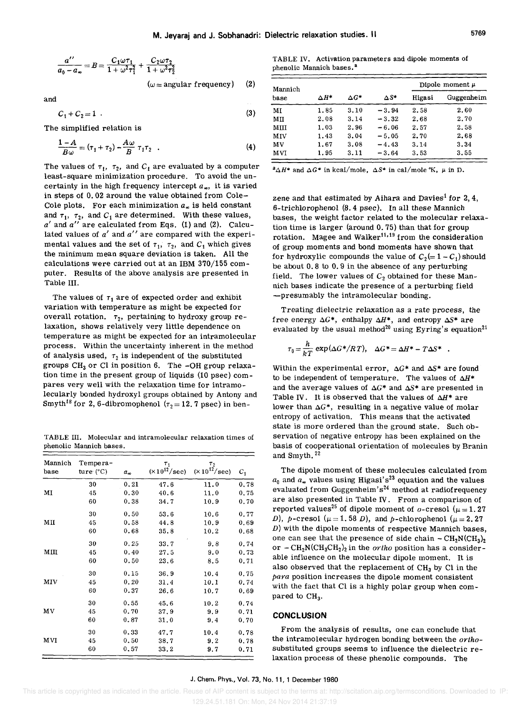$$
\frac{a''}{a_0 - a_{\infty}} = B = \frac{C_1 \omega \tau_1}{1 + \omega^2 \tau_1^2} + \frac{C_2 \omega \tau_2}{1 + \omega^2 \tau_2^2}
$$
  
( $\omega$  = angular frequency) (2)

and

$$
C_1 + C_2 = 1 \tag{3}
$$

The simplified relation is

$$
\frac{1-A}{B\omega} = (\tau_1 + \tau_2) - \frac{A\omega}{B} \tau_1 \tau_2 \quad . \tag{4}
$$

The values of  $\tau_1$ ,  $\tau_2$ , and  $C_1$  are evaluated by a computer least-square minimization procedure. To avoid the uncertainty in the high frequency intercept  $a_{\infty}$ , it is varied in steps of 0.02 around the value obtained from Cole-Cole plots. For each minimization  $a_{\infty}$  is held constant and  $\tau_1$ ,  $\tau_2$ , and  $C_1$  are determined. With these values, *a'* and *a"* are calculated from Eqs. (1) and (2). Calculated values of *a'* and *a"* are compared with the experimental values and the set of  $\tau_1$ ,  $\tau_2$ , and  $C_1$  which gives the minimum mean square deviation is taken. All the calculations were carried out at an IBM 370/155 computer. Results of the above analysis are presented in Table III.

The values of  $\tau_1$  are of expected order and exhibit variation with temperature as might be expected for overall rotation.  $\tau_2$ , pertaining to hydroxy group relaxation, shows relatively very little dependence on temperature as might be expected for an intramolecular process. Within the uncertainty inherent in the method of analysis used,  $\tau_2$  is independent of the substituted groups  $CH_3$  or Cl in position 6. The -OH group relaxation time in the present group of liquids (10 psec) compares very well with the relaxation time for intramolecularly bonded hydroxyl groups obtained by Antony and Smyth<sup>18</sup> for 2, 6-dibromophenol ( $\tau_2$  = 12. 7 psec) in ben-

TABLE III. Molecular and intramolecular relaxation times of phenolic Mannich bases.

| Mannich<br>base | Tempera-<br>ture $(^{\circ}C)$ | $a_{\infty}$ | $\tau_1$<br>$(\times 10^{12}/\text{sec})$ | $\tau_2$<br>$(\times 10^{12} / \text{sec})$ | $c_{1}$ |
|-----------------|--------------------------------|--------------|-------------------------------------------|---------------------------------------------|---------|
|                 | 30                             | 0.21         | 47.6                                      | 11.0                                        | 0.78    |
| MI              | 45                             | 0.30         | 40.6                                      | 11.0                                        | 0.75    |
|                 | 60                             | 0.38         | 34.7                                      | 10.9                                        | 0.70    |
|                 | 30                             | 0.50         | 53.6                                      | 10.6                                        | 0.77    |
| MП              | 45                             | 0.58         | 44.8                                      | 10.9                                        | 0.69    |
|                 | 60                             | 0.68         | 35.8                                      | 10.2                                        | 0.68    |
|                 | 30                             | 0.25         | 33.7                                      | 9.8                                         | 0.74    |
| MIII            | 45                             | 0.40         | 27.5                                      | 9.0                                         | 0.73    |
|                 | 60                             | 0.50         | 23.6                                      | 8.5                                         | 0.71    |
|                 | 30                             | 0.15         | 36,9                                      | 10.4                                        | 0.75    |
| MIV             | 45                             | 0.20         | 31.4                                      | 10.1                                        | 0.74    |
|                 | 60                             | 0.37         | 26.6                                      | 10.7                                        | 0.69    |
|                 | 30                             | 0.55         | 45.6                                      | 10.2                                        | 0.74    |
| MV              | 45                             | 0.70         | 37.9                                      | 9.9                                         | 0.71    |
|                 | 60                             | 0.87         | 31.0                                      | 9.4                                         | 0.70    |
|                 | 30                             | 0.33         | 47.7                                      | 10.4                                        | 0.78    |
| МVI             | 45                             | 0.50         | 38.7                                      | 9.2                                         | 0.78    |
|                 | 60                             | 0,57         | 33.2                                      | 9.7                                         | 0.71    |

TABLE IV. Activation parameters and dipole moments of phenolic Mannich bases.<sup>a</sup>

| Mannich |              |              |              | Dipole moment $\mu$ |            |  |
|---------|--------------|--------------|--------------|---------------------|------------|--|
| base    | $\Delta H^*$ | $\Delta G^*$ | $\Delta S^*$ | Higasi              | Guggenheim |  |
| MI      | 1.85         | 3.10         | $-3.94$      | 2.58                | 2.60       |  |
| МH      | 2.08         | 3.14         | $-3.32$      | 2.68                | 2.70       |  |
| MIII    | 1.03         | 2.96         | $-6.06$      | 2.57                | 2.58       |  |
| MIV     | 1.43         | 3.04         | $-5.05$      | 2.70                | 2.68       |  |
| MV      | 1.67         | 3.08         | $-4.43$      | 3.14                | 3.34       |  |
| MVI     | 1.95         | 3.11         | $-3.64$      | 3.53                | 3.55       |  |

 $^2\Delta H^*$  and  $\Delta G^*$  in kcal/mole,  $\Delta S^*$  in cal/mole K,  $\mu$  in D.

zene and that estimated by Aihara and Davies<sup>1</sup> for 2, 4. 6-trichlorophenol (8.4 psec). In all these Mannich bases, the weight factor related to the molecular relaxation time is larger (around 0.75) than that for group rotation. Magee and Walker<sup>11,19</sup> from the consideration of group moments and bond moments have shown that for hydroxylic compounds the value of  $C_2(= 1 - C_1)$  should be about 0.8 to 0.9 in the absence of any perturbing field. The lower values of  $C_2$  obtained for these Mannich bases indicate the presence of a perturbing field -presumably the intramolecular bonding.

Treating dielectric relaxation as a rate process, the free energy  $\Delta G^*$ , enthalpy  $\Delta H^*$ , and entropy  $\Delta S^*$  are evaluated by the usual method<sup>20</sup> using Eyring's equation<sup>21</sup>

$$
\tau_0 = \frac{h}{kT} \exp(\Delta G^* / RT), \quad \Delta G^* = \Delta H^* - T \Delta S^*.
$$

Within the experimental error,  $\Delta G^*$  and  $\Delta S^*$  are found to be independent of temperature. The values of  $\Delta H^*$ and the average values of  $\Delta G^*$  and  $\Delta S^*$  are presented in Table IV. It is observed that the values of  $\Delta H^*$  are lower than  $\Delta G^*$ , resulting in a negative value of molar entropy of activation. This means that the activated state is more ordered than the ground state. Such observation of negative entropy has been explained on the basis of cooperational orientation of molecules by Branin and Smyth. 22

The dipole moment of these molecules calculated from  $a_0$  and  $a_n$  values using Higasi's<sup>23</sup> equation and the values evaluated from Guggenheim's<sup>24</sup> method at radiofrequency are also presented in Table IV. From a comparison of reported values<sup>25</sup> of dipole moment of o-cresol ( $\mu = 1.27$ ) D), p-cresol ( $\mu = 1.58$  D), and p-chlorophenol ( $\mu = 2.27$  $D$ ) with the dipole moments of respective Mannich bases, one can see that the presence of side chain  $-CH_2N(CH_3)_2$ or  $-CH_2N(CH_3CH_2)_2$  in the *ortho* position has a considerable influence on the molecular dipole moment. It is also observed that the replacement of  $CH<sub>3</sub>$  by Cl in the *para* position increases the dipole moment consistent with the fact that CI is a highly polar group when compared to CH<sub>3</sub>.

#### **CONCLUSION**

From the analysis of results, one can conclude that the intramolecular hydrogen bonding between the *ortho*substituted groups seems to influence the dielectric relaxation process of these phenolic compounds. The